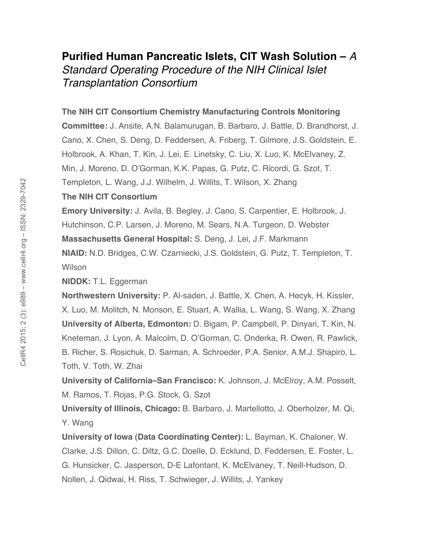## **Purified Human Pancreatic Islets, CIT Wash Solution –** *A Standard Operating Procedure of the NIH Clinical Islet Transplantation Consortium*

## **The NIH CIT Consortium Chemistry Manufacturing Controls Monitoring**

**Committee:** J. Ansite, A.N. Balamurugan, B. Barbaro, J. Battle, D. Brandhorst, J. Cano, X. Chen, S. Deng, D. Feddersen, A. Friberg, T. Gilmore, J.S. Goldstein, E. Holbrook, A. Khan, T. Kin, J. Lei, E. Linetsky, C. Liu, X. Luo, K. McElvaney, Z. Min, J. Moreno, D. O'Gorman, K.K. Papas, G. Putz, C. Ricordi, G. Szot, T. Templeton, L. Wang, J.J. Wilhelm, J. Willits, T. Wilson, X. Zhang

## **The NIH CIT Consortium**

**Emory University:** J. Avila, B. Begley, J. Cano, S. Carpentier, E. Holbrook, J. Hutchinson, C.P. Larsen, J. Moreno, M. Sears, N.A. Turgeon, D. Webster

**Massachusetts General Hospital:** S. Deng, J. Lei, J.F. Markmann

**NIAID:** N.D. Bridges, C.W. Czarniecki, J.S. Goldstein, G. Putz, T. Templeton, T. **Wilson** 

**NIDDK:** T.L. Eggerman

**Northwestern University:** P. Al-saden, J. Battle, X. Chen, A. Hecyk, H. Kissler, X. Luo, M. Molitch, N. Monson, E. Stuart, A. Wallia, L. Wang, S. Wang, X. Zhang **University of Alberta, Edmonton:** D. Bigam, P. Campbell, P. Dinyari, T. Kin, N. Kneteman, J. Lyon, A. Malcolm, D. O'Gorman, C. Onderka, R. Owen, R. Pawlick, B. Richer, S. Rosichuk, D. Sarman, A. Schroeder, P.A. Senior, A.M.J. Shapiro, L. Toth, V. Toth, W. Zhai

**University of California–San Francisco:** K. Johnson, J. McElroy, A.M. Posselt, M. Ramos, T. Rojas, P.G. Stock, G. Szot

**University of Illinois, Chicago:** B. Barbaro, J. Martellotto, J. Oberholzer, M. Qi, Y. Wang

**University of Iowa (Data Coordinating Center):** L. Bayman, K. Chaloner, W. Clarke, J.S. Dillon, C. Diltz, G.C. Doelle, D. Ecklund, D. Feddersen, E. Foster, L. G. Hunsicker, C. Jasperson, D-E Lafontant, K. McElvaney, T. Neill-Hudson, D. Nollen, J. Qidwai, H. Riss, T. Schwieger, J. Willits, J. Yankey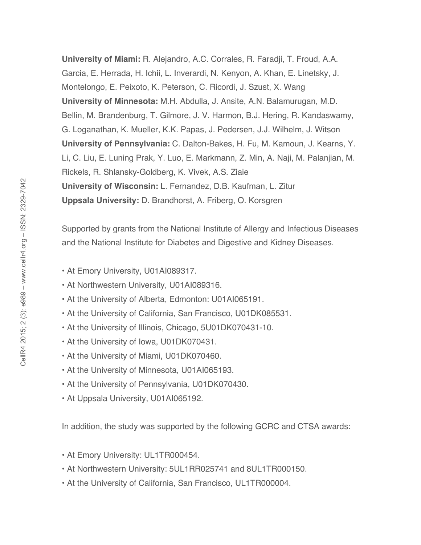**University of Miami:** R. Alejandro, A.C. Corrales, R. Faradji, T. Froud, A.A. Garcia, E. Herrada, H. Ichii, L. Inverardi, N. Kenyon, A. Khan, E. Linetsky, J. Montelongo, E. Peixoto, K. Peterson, C. Ricordi, J. Szust, X. Wang **University of Minnesota:** M.H. Abdulla, J. Ansite, A.N. Balamurugan, M.D. Bellin, M. Brandenburg, T. Gilmore, J. V. Harmon, B.J. Hering, R. Kandaswamy, G. Loganathan, K. Mueller, K.K. Papas, J. Pedersen, J.J. Wilhelm, J. Witson **University of Pennsylvania:** C. Dalton-Bakes, H. Fu, M. Kamoun, J. Kearns, Y. Li, C. Liu, E. Luning Prak, Y. Luo, E. Markmann, Z. Min, A. Naji, M. Palanjian, M. Rickels, R. Shlansky-Goldberg, K. Vivek, A.S. Ziaie **University of Wisconsin:** L. Fernandez, D.B. Kaufman, L. Zitur **Uppsala University:** D. Brandhorst, A. Friberg, O. Korsgren

Supported by grants from the National Institute of Allergy and Infectious Diseases and the National Institute for Diabetes and Digestive and Kidney Diseases.

- At Emory University, U01AI089317.
- At Northwestern University, U01AI089316.
- At the University of Alberta, Edmonton: U01AI065191.
- At the University of California, San Francisco, U01DK085531.
- At the University of Illinois, Chicago, 5U01DK070431-10.
- At the University of Iowa, U01DK070431.
- At the University of Miami, U01DK070460.
- At the University of Minnesota, U01AI065193.
- At the University of Pennsylvania, U01DK070430.
- At Uppsala University, U01AI065192.

In addition, the study was supported by the following GCRC and CTSA awards:

- At Emory University: UL1TR000454.
- At Northwestern University: 5UL1RR025741 and 8UL1TR000150.
- At the University of California, San Francisco, UL1TR000004.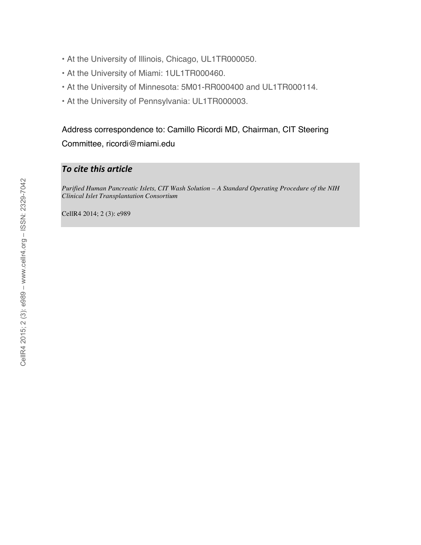- At the University of Illinois, Chicago, UL1TR000050.
- At the University of Miami: 1UL1TR000460.
- At the University of Minnesota: 5M01-RR000400 and UL1TR000114.
- At the University of Pennsylvania: UL1TR000003.

Address correspondence to: Camillo Ricordi MD, Chairman, CIT Steering Committee, ricordi@miami.edu

## *To
cite
this
article*

*Purified Human Pancreatic Islets, CIT Wash Solution – A Standard Operating Procedure of the NIH Clinical Islet Transplantation Consortium*

CellR4 2014; 2 (3): e989